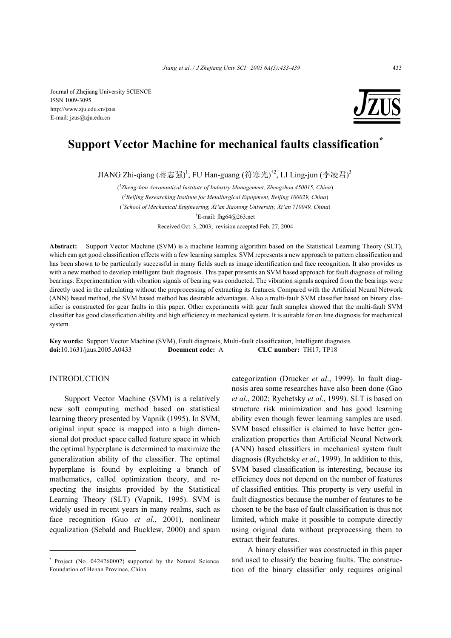

# **Support Vector Machine for mechanical faults classification\***

JIANG Zhi-qiang (蒋志强) <sup>1</sup>, FU Han-guang (符寒光) <sup>†2</sup>, LI Ling-jun (李凌君) <sup>3</sup>

( *1 Zhengzhou Aeronautical Institute of Industry Management, Zhengzhou 450015, China*) ( *2 Beijing Researching Institute for Metallurgical Equipment, Beijing 100029, China*) ( *3 School of Mechanical Engineering, Xi'an Jiaotong University, Xi'an 710049, China*) † E-mail: fhg64@263.net

Received Oct. 3, 2003; revision accepted Feb. 27, 2004

**Abstract:** Support Vector Machine (SVM) is a machine learning algorithm based on the Statistical Learning Theory (SLT), which can get good classification effects with a few learning samples. SVM represents a new approach to pattern classification and has been shown to be particularly successful in many fields such as image identification and face recognition. It also provides us with a new method to develop intelligent fault diagnosis. This paper presents an SVM based approach for fault diagnosis of rolling bearings. Experimentation with vibration signals of bearing was conducted. The vibration signals acquired from the bearings were directly used in the calculating without the preprocessing of extracting its features. Compared with the Artificial Neural Network (ANN) based method, the SVM based method has desirable advantages. Also a multi-fault SVM classifier based on binary classifier is constructed for gear faults in this paper. Other experiments with gear fault samples showed that the multi-fault SVM classifier has good classification ability and high efficiency in mechanical system. It is suitable for on line diagnosis for mechanical system.

**Key words:** Support Vector Machine (SVM), Fault diagnosis, Multi-fault classification, Intelligent diagnosis **doi:**10.1631/jzus.2005.A0433 **Document code:** A **CLC number:** TH17; TP18

# INTRODUCTION

Support Vector Machine (SVM) is a relatively new soft computing method based on statistical learning theory presented by Vapnik (1995). In SVM, original input space is mapped into a high dimensional dot product space called feature space in which the optimal hyperplane is determined to maximize the generalization ability of the classifier. The optimal hyperplane is found by exploiting a branch of mathematics, called optimization theory, and respecting the insights provided by the Statistical Learning Theory (SLT) (Vapnik, 1995). SVM is widely used in recent years in many realms, such as face recognition (Guo *et al*., 2001), nonlinear equalization (Sebald and Bucklew, 2000) and spam categorization (Drucker *et al*., 1999). In fault diagnosis area some researches have also been done (Gao *et al*., 2002; Rychetsky *et al*., 1999). SLT is based on structure risk minimization and has good learning ability even though fewer learning samples are used. SVM based classifier is claimed to have better generalization properties than Artificial Neural Network (ANN) based classifiers in mechanical system fault diagnosis (Rychetsky *et al*., 1999). In addition to this, SVM based classification is interesting, because its efficiency does not depend on the number of features of classified entities. This property is very useful in fault diagnostics because the number of features to be chosen to be the base of fault classification is thus not limited, which make it possible to compute directly using original data without preprocessing them to extract their features.

A binary classifier was constructed in this paper and used to classify the bearing faults. The construction of the binary classifier only requires original

<sup>\*</sup> Project (No. 0424260002) supported by the Natural Science Foundation of Henan Province, China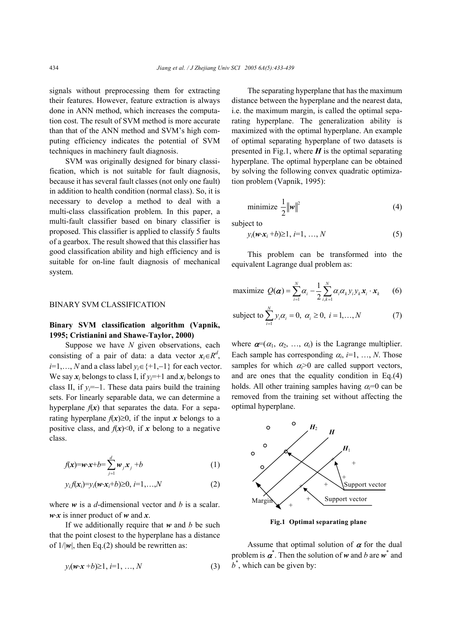signals without preprocessing them for extracting their features. However, feature extraction is always done in ANN method, which increases the computation cost. The result of SVM method is more accurate than that of the ANN method and SVM's high computing efficiency indicates the potential of SVM techniques in machinery fault diagnosis.

SVM was originally designed for binary classification, which is not suitable for fault diagnosis, because it has several fault classes (not only one fault) in addition to health condition (normal class). So, it is necessary to develop a method to deal with a multi-class classification problem. In this paper, a multi-fault classifier based on binary classifier is proposed. This classifier is applied to classify 5 faults of a gearbox. The result showed that this classifier has good classification ability and high efficiency and is suitable for on-line fault diagnosis of mechanical system.

#### BINARY SVM CLASSIFICATION

# **Binary SVM classification algorithm (Vapnik, 1995; Cristianini and Shawe-Taylor, 2000)**

Suppose we have *N* given observations, each consisting of a pair of data: a data vector  $x_i \in R^d$ , *i*=1,…, *N* and a class label  $y_i \in \{+1,-1\}$  for each vector. We say  $x_i$  belongs to class I, if  $y_i = +1$  and  $x_i$  belongs to class II, if *yi*=−1. These data pairs build the training sets. For linearly separable data, we can determine a hyperplane  $f(x)$  that separates the data. For a separating hyperplane  $f(x) \ge 0$ , if the input *x* belongs to a positive class, and  $f(x) \le 0$ , if x belong to a negative class.

$$
f(\mathbf{x}) = \mathbf{w} \cdot \mathbf{x} + b = \sum_{j=1}^{d} \mathbf{w}_j \mathbf{x}_j + b \tag{1}
$$

$$
y_i f(\mathbf{x}_i) = y_i(\mathbf{w} \cdot \mathbf{x}_i + b) \ge 0, \ i = 1, \dots, N \tag{2}
$$

where *w* is a *d*-dimensional vector and *b* is a scalar. *w*⋅*x* is inner product of *w* and *x*.

If we additionally require that *w* and *b* be such that the point closest to the hyperplane has a distance of  $1/|\mathbf{w}|$ , then Eq.(2) should be rewritten as:

$$
y_i(w \cdot x + b) \ge 1, i=1, ..., N
$$
 (3)

The separating hyperplane that has the maximum distance between the hyperplane and the nearest data, i.e. the maximum margin, is called the optimal separating hyperplane. The generalization ability is maximized with the optimal hyperplane. An example of optimal separating hyperplane of two datasets is presented in Fig.1, where  $H$  is the optimal separating hyperplane. The optimal hyperplane can be obtained by solving the following convex quadratic optimization problem (Vapnik, 1995):

$$
\text{minimize } \frac{1}{2} \|\mathbf{w}\|^2 \tag{4}
$$

subject to

$$
y_i(\boldsymbol{w}\cdot\boldsymbol{x}_i+b)\geq 1, i=1,...,N
$$
 (5)

This problem can be transformed into the equivalent Lagrange dual problem as:

maximize 
$$
Q(\boldsymbol{\alpha}) = \sum_{i=1}^{N} \alpha_i - \frac{1}{2} \sum_{i,k=1}^{N} \alpha_i \alpha_k y_i y_k x_i \cdot x_k
$$
 (6)

subject to 
$$
\sum_{i=1}^{N} y_i \alpha_i = 0, \ \alpha_i \ge 0, \ i = 1,..., N
$$
 (7)

where  $\boldsymbol{\alpha}=(\alpha_1, \alpha_2, \ldots, \alpha_i)$  is the Lagrange multiplier. Each sample has corresponding  $\alpha_i$ , *i*=1, ..., *N*. Those samples for which  $\alpha_i > 0$  are called support vectors, and are ones that the equality condition in Eq.(4) holds. All other training samples having  $\alpha=0$  can be removed from the training set without affecting the optimal hyperplane.



**Fig.1 Optimal separating plane** 

Assume that optimal solution of  $\alpha$  for the dual problem is  $\alpha^*$ . Then the solution of *w* and *b* are  $w^*$  and  $b^*$ , which can be given by: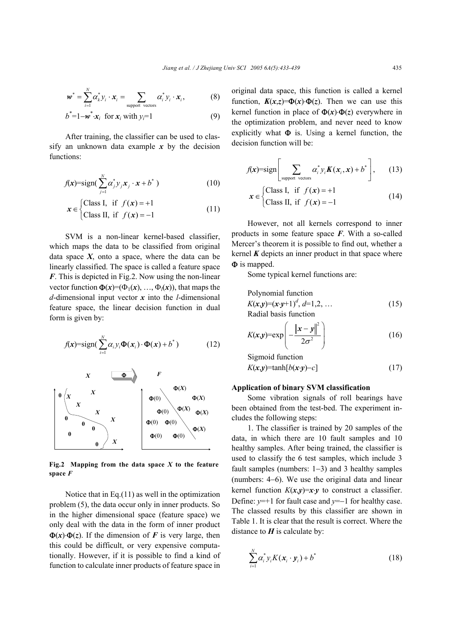$$
\boldsymbol{w}^* = \sum_{i=1}^N \alpha_k^* y_i \cdot \boldsymbol{x}_i = \sum_{\text{support vectors}} \alpha_i^* y_i \cdot \boldsymbol{x}_i, \tag{8}
$$

$$
b^* = 1 - \boldsymbol{w}^* \cdot \boldsymbol{x}_i \text{ for } \boldsymbol{x}_i \text{ with } y_i = 1 \tag{9}
$$

After training, the classifier can be used to classify an unknown data example *x* by the decision functions:

$$
f(\mathbf{x}) = \text{sign}(\sum_{j=1}^{N} \alpha_j^* y_j \mathbf{x}_j \cdot \mathbf{x} + b^*)
$$
 (10)

$$
\mathbf{x} \in \begin{cases} \text{Class I, if } f(\mathbf{x}) = +1 \\ \text{Class II, if } f(\mathbf{x}) = -1 \end{cases} \tag{11}
$$

SVM is a non-linear kernel-based classifier, which maps the data to be classified from original data space  $X$ , onto a space, where the data can be linearly classified. The space is called a feature space *F*. This is depicted in Fig.2. Now using the non-linear vector function  $\Phi(x)=(\Phi_1(x), \ldots, \Phi_l(x))$ , that maps the *d*-dimensional input vector *x* into the *l*-dimensional feature space, the linear decision function in dual form is given by:

$$
f(\mathbf{x}) = \text{sign}(\sum_{i=1}^{N} \alpha_i y_i \mathbf{\Phi}(\mathbf{x}_i) \cdot \mathbf{\Phi}(\mathbf{x}) + b^*)
$$
 (12)



**Fig.2 Mapping from the data space** *X* **to the feature space** *F*

Notice that in Eq. $(11)$  as well in the optimization problem (5), the data occur only in inner products. So in the higher dimensional space (feature space) we only deal with the data in the form of inner product  $\Phi(x) \cdot \Phi(z)$ . If the dimension of *F* is very large, then this could be difficult, or very expensive computationally. However, if it is possible to find a kind of function to calculate inner products of feature space in original data space, this function is called a kernel function,  $K(x,z) = \Phi(x) \cdot \Phi(z)$ . Then we can use this kernel function in place of  $\Phi(x) \cdot \Phi(z)$  everywhere in the optimization problem, and never need to know explicitly what  $\Phi$  is. Using a kernel function, the decision function will be:

$$
f(\mathbf{x}) = \text{sign}\left[\sum_{\text{support vectors}} \alpha_i^* y_i \mathbf{K}(\mathbf{x}_i, \mathbf{x}) + b^* \right], \qquad (13)
$$

$$
\mathbf{x} \in \begin{cases} \text{Class I, if } f(\mathbf{x}) = +1 \\ \text{Class II, if } f(\mathbf{x}) = -1 \end{cases}
$$
 (14)

However, not all kernels correspond to inner products in some feature space *F*. With a so-called Mercer's theorem it is possible to find out, whether a kernel *K* depicts an inner product in that space where Φ is mapped.

Some typical kernel functions are:

Polynomial function  
\n
$$
K(x,y)=(x \cdot y+1)^d, d=1,2,...
$$
 (15)  
\nRadial basis function

$$
K(\mathbf{x}, \mathbf{y}) = \exp\left(-\frac{\|\mathbf{x} - \mathbf{y}\|^2}{2\sigma^2}\right) \tag{16}
$$

$$
Sigmoid functionK(x,y)=tanh[b(x \cdot y)-c]
$$
 (17)

# **Application of binary SVM classification**

Some vibration signals of roll bearings have been obtained from the test-bed. The experiment includes the following steps:

1. The classifier is trained by 20 samples of the data, in which there are 10 fault samples and 10 healthy samples. After being trained, the classifier is used to classify the 6 test samples, which include 3 fault samples (numbers: 1−3) and 3 healthy samples (numbers: 4−6). We use the original data and linear kernel function  $K(x,y)=x\cdot y$  to construct a classifier. Define: *y*=+1 for fault case and *y*=−1 for healthy case. The classed results by this classifier are shown in Table 1. It is clear that the result is correct. Where the distance to  $H$  is calculate by:

$$
\sum_{i=1}^{N} \alpha_i^* y_i K(\mathbf{x}_i \cdot \mathbf{y}_i) + b^* \tag{18}
$$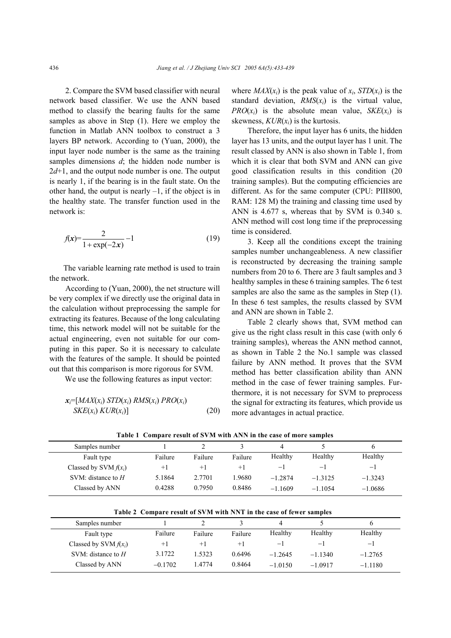2. Compare the SVM based classifier with neural network based classifier. We use the ANN based method to classify the bearing faults for the same samples as above in Step (1). Here we employ the function in Matlab ANN toolbox to construct a 3 layers BP network. According to (Yuan, 2000), the input layer node number is the same as the training samples dimensions *d*; the hidden node number is  $2d+1$ , and the output node number is one. The output is nearly 1, if the bearing is in the fault state. On the other hand, the output is nearly  $-1$ , if the object is in the healthy state. The transfer function used in the network is:

$$
f(x) = \frac{2}{1 + \exp(-2x)} - 1
$$
 (19)

 The variable learning rate method is used to train the network.

 According to (Yuan, 2000), the net structure will be very complex if we directly use the original data in the calculation without preprocessing the sample for extracting its features. Because of the long calculating time, this network model will not be suitable for the actual engineering, even not suitable for our computing in this paper. So it is necessary to calculate with the features of the sample. It should be pointed out that this comparison is more rigorous for SVM.

We use the following features as input vector:

$$
\begin{aligned} \mathbf{x}_i = [MAX(x_i) \, STD(x_i) \, RMS(x_i) \, PRO(x_i) \\ SKE(x_i) \, KUR(x_i)] \end{aligned} \tag{20}
$$

where  $MAX(x_i)$  is the peak value of  $x_i$ ,  $STD(x_i)$  is the standard deviation,  $RMS(x_i)$  is the virtual value, *PRO* $(x_i)$  is the absolute mean value, *SKE* $(x_i)$  is skewness,  $KUR(x_i)$  is the kurtosis.

Therefore, the input layer has 6 units, the hidden layer has 13 units, and the output layer has 1 unit. The result classed by ANN is also shown in Table 1, from which it is clear that both SVM and ANN can give good classification results in this condition (20 training samples). But the computing efficiencies are different. As for the same computer (CPU: PIII800, RAM: 128 M) the training and classing time used by ANN is 4.677 s, whereas that by SVM is 0.340 s. ANN method will cost long time if the preprocessing time is considered.

3. Keep all the conditions except the training samples number unchangeableness. A new classifier is reconstructed by decreasing the training sample numbers from 20 to 6. There are 3 fault samples and 3 healthy samples in these 6 training samples. The 6 test samples are also the same as the samples in Step  $(1)$ . In these 6 test samples, the results classed by SVM and ANN are shown in Table 2.

Table 2 clearly shows that, SVM method can give us the right class result in this case (with only 6 training samples), whereas the ANN method cannot, as shown in Table 2 the No.1 sample was classed failure by ANN method. It proves that the SVM method has better classification ability than ANN method in the case of fewer training samples. Furthermore, it is not necessary for SVM to preprocess the signal for extracting its features, which provide us more advantages in actual practice.

| Samples number          |         |         |         | 4         |           | o         |  |
|-------------------------|---------|---------|---------|-----------|-----------|-----------|--|
| Fault type              | Failure | Failure | Failure | Healthy   | Healthy   | Healthy   |  |
| Classed by SVM $f(x_i)$ | $+1$    | $+1$    | $+1$    | $-1$      | $-1$      | $-1$      |  |
| SVM: distance to $H$    | 5.1864  | 2.7701  | 1.9680  | $-1.2874$ | $-1.3125$ | $-1.3243$ |  |
| Classed by ANN          | 0.4288  | 0.7950  | 0.8486  | $-1.1609$ | $-11054$  | $-1.0686$ |  |
|                         |         |         |         |           |           |           |  |

**Table 1 Compare result of SVM with ANN in the case of more samples** 

**Table 2 Compare result of SVM with NNT in the case of fewer samples** 

|                         | Table 4 Compare result of By M with THAT In the case of fewer samples |         |         |           |           |           |  |
|-------------------------|-----------------------------------------------------------------------|---------|---------|-----------|-----------|-----------|--|
| Samples number          |                                                                       |         |         |           |           |           |  |
| Fault type              | Failure                                                               | Failure | Failure | Healthy   | Healthy   | Healthy   |  |
| Classed by SVM $f(x_i)$ | $+1$                                                                  | $+1$    | $+1$    | $-1$      | $-1$      | $-1$      |  |
| SVM: distance to $H$    | 3.1722                                                                | 1.5323  | 0.6496  | $-1.2645$ | $-11340$  | $-1.2765$ |  |
| Classed by ANN          | $-0.1702$                                                             | 14774   | 0.8464  | $-1.0150$ | $-1.0917$ | $-1.1180$ |  |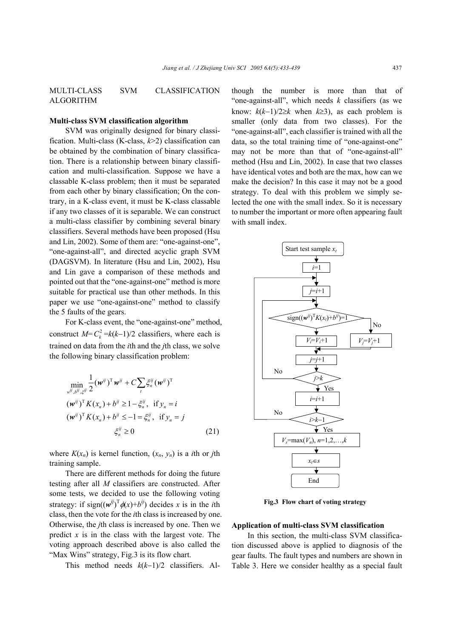MULTI-CLASS SVM CLASSIFICATION ALGORITHM

#### **Multi-class SVM classification algorithm**

SVM was originally designed for binary classification. Multi-class (K-class, *k*>2) classification can be obtained by the combination of binary classification. There is a relationship between binary classification and multi-classification. Suppose we have a classable K-class problem; then it must be separated from each other by binary classification; On the contrary, in a K-class event, it must be K-class classable if any two classes of it is separable. We can construct a multi-class classifier by combining several binary classifiers. Several methods have been proposed (Hsu and Lin, 2002). Some of them are: "one-against-one", "one-against-all", and directed acyclic graph SVM (DAGSVM). In literature (Hsu and Lin, 2002), Hsu and Lin gave a comparison of these methods and pointed out that the "one-against-one" method is more suitable for practical use than other methods. In this paper we use "one-against-one" method to classify the 5 faults of the gears.

For K-class event, the "one-against-one" method, construct  $M=C_k^2 = k(k-1)/2$  classifiers, where each is trained on data from the *i*th and the *j*th class, we solve the following binary classification problem:

$$
\min_{w^{ij}, b^{ij}, \xi^{ij}} \frac{1}{2} (\boldsymbol{w}^{ij})^{\mathrm{T}} \boldsymbol{w}^{ij} + C \sum_{t} \xi_n^{ij} (\boldsymbol{w}^{ij})^{\mathrm{T}}
$$
  

$$
(\boldsymbol{w}^{ij})^{\mathrm{T}} K(x_n) + b^{ij} \ge 1 - \xi_n^{ij}, \text{ if } y_n = i
$$
  

$$
(\boldsymbol{w}^{ij})^{\mathrm{T}} K(x_n) + b^{ij} \le -1 = \xi_n^{ij}, \text{ if } y_n = j
$$
  

$$
\xi_n^{ij} \ge 0
$$
 (21)

where  $K(x_n)$  is kernel function,  $(x_n, y_n)$  is a *i*th or *j*th training sample.

There are different methods for doing the future testing after all *M* classifiers are constructed. After some tests, we decided to use the following voting strategy: if  $sign((w^{ij})^T \phi(x) + b^{ij})$  decides *x* is in the *i*th class, then the vote for the *i*th class is increased by one. Otherwise, the *j*th class is increased by one. Then we predict  $x$  is in the class with the largest vote. The voting approach described above is also called the "Max Wins" strategy, Fig.3 is its flow chart.

This method needs *k*(*k*−1)/2 classifiers. Al-

though the number is more than that of "one-against-all", which needs *k* classifiers (as we know:  $k(k-1)/2 \ge k$  when  $k \ge 3$ ), as each problem is smaller (only data from two classes). For the "one-against-all", each classifier is trained with all the data, so the total training time of "one-against-one" may not be more than that of "one-against-all" method (Hsu and Lin, 2002). In case that two classes have identical votes and both are the max, how can we make the decision? In this case it may not be a good strategy. To deal with this problem we simply selected the one with the small index. So it is necessary to number the important or more often appearing fault with small index.



**Fig.3 Flow chart of voting strategy** 

#### **Application of multi-class SVM classification**

In this section, the multi-class SVM classification discussed above is applied to diagnosis of the gear faults. The fault types and numbers are shown in Table 3. Here we consider healthy as a special fault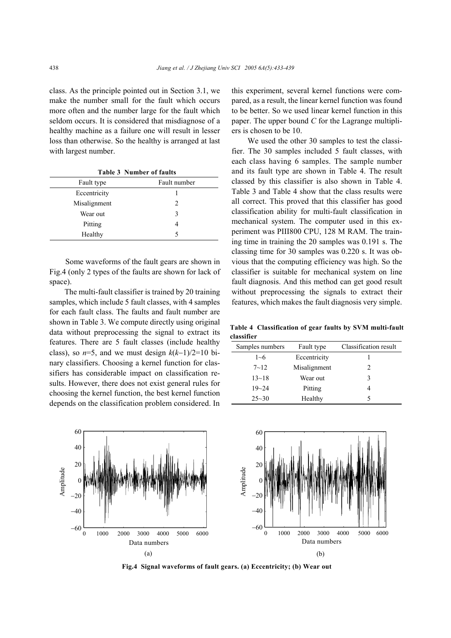class. As the principle pointed out in Section 3.1, we make the number small for the fault which occurs more often and the number large for the fault which seldom occurs. It is considered that misdiagnose of a healthy machine as a failure one will result in lesser loss than otherwise. So the healthy is arranged at last with largest number.

**Table 3 Number of faults** 

| Fault type   | Fault number   |
|--------------|----------------|
| Eccentricity |                |
| Misalignment | $\mathfrak{D}$ |
| Wear out     | 3              |
| Pitting      |                |
| Healthy      | 5              |

Some waveforms of the fault gears are shown in Fig.4 (only 2 types of the faults are shown for lack of space).

The multi-fault classifier is trained by 20 training samples, which include 5 fault classes, with 4 samples for each fault class. The faults and fault number are shown in Table 3. We compute directly using original data without preprocessing the signal to extract its features. There are 5 fault classes (include healthy class), so  $n=5$ , and we must design  $k(k-1)/2=10$  binary classifiers. Choosing a kernel function for classifiers has considerable impact on classification results. However, there does not exist general rules for choosing the kernel function, the best kernel function depends on the classification problem considered. In

this experiment, several kernel functions were compared, as a result, the linear kernel function was found to be better. So we used linear kernel function in this paper. The upper bound *C* for the Lagrange multipliers is chosen to be 10.

We used the other 30 samples to test the classifier. The 30 samples included 5 fault classes, with each class having 6 samples. The sample number and its fault type are shown in Table 4. The result classed by this classifier is also shown in Table 4. Table 3 and Table 4 show that the class results were all correct. This proved that this classifier has good classification ability for multi-fault classification in mechanical system. The computer used in this experiment was PIII800 CPU, 128 M RAM. The training time in training the 20 samples was 0.191 s. The classing time for 30 samples was 0.220 s. It was obvious that the computing efficiency was high. So the classifier is suitable for mechanical system on line fault diagnosis. And this method can get good result without preprocessing the signals to extract their features, which makes the fault diagnosis very simple.

**Table 4 Classification of gear faults by SVM multi-fault classifier** 

| Samples numbers | Fault type   | Classification result |
|-----------------|--------------|-----------------------|
| $1 - 6$         | Eccentricity |                       |
| $7 - 12$        | Misalignment | $\mathfrak{D}$        |
| $13 - 18$       | Wear out     | 3                     |
| $19 - 24$       | Pitting      | 4                     |
| $25 - 30$       | Healthy      | 5                     |



**Fig.4 Signal waveforms of fault gears. (a) Eccentricity; (b) Wear out**